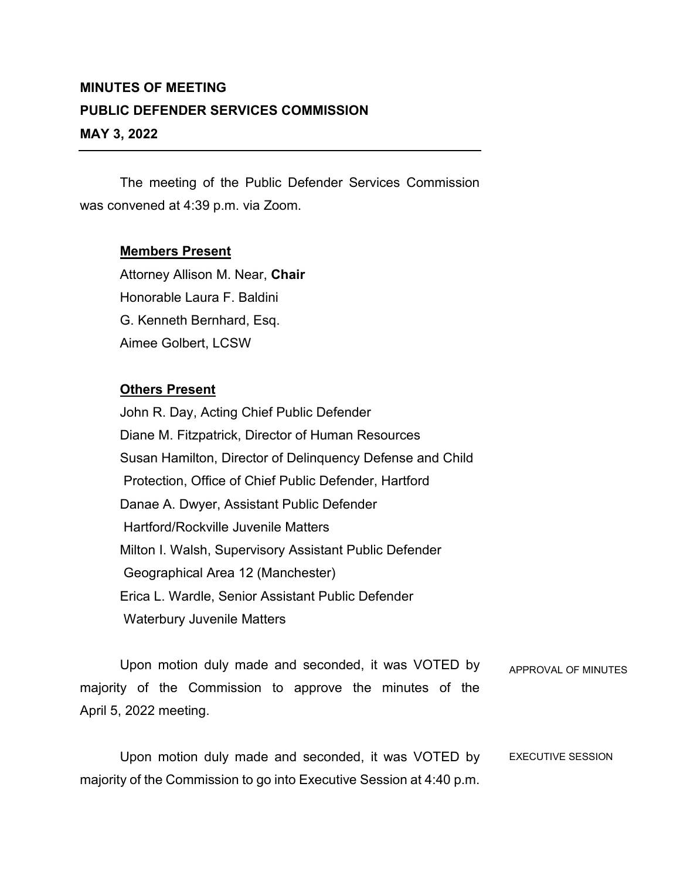## **MINUTES OF MEETING PUBLIC DEFENDER SERVICES COMMISSION MAY 3, 2022**

The meeting of the Public Defender Services Commission was convened at 4:39 p.m. via Zoom.

## **Members Present**

Attorney Allison M. Near, **Chair** Honorable Laura F. Baldini G. Kenneth Bernhard, Esq. Aimee Golbert, LCSW

## **Others Present**

John R. Day, Acting Chief Public Defender Diane M. Fitzpatrick, Director of Human Resources Susan Hamilton, Director of Delinquency Defense and Child Protection, Office of Chief Public Defender, Hartford Danae A. Dwyer, Assistant Public Defender Hartford/Rockville Juvenile Matters Milton I. Walsh, Supervisory Assistant Public Defender Geographical Area 12 (Manchester) Erica L. Wardle, Senior Assistant Public Defender Waterbury Juvenile Matters

Upon motion duly made and seconded, it was VOTED by majority of the Commission to approve the minutes of the April 5, 2022 meeting. APPROVAL OF MINUTES

Upon motion duly made and seconded, it was VOTED by majority of the Commission to go into Executive Session at 4:40 p.m. EXECUTIVE SESSION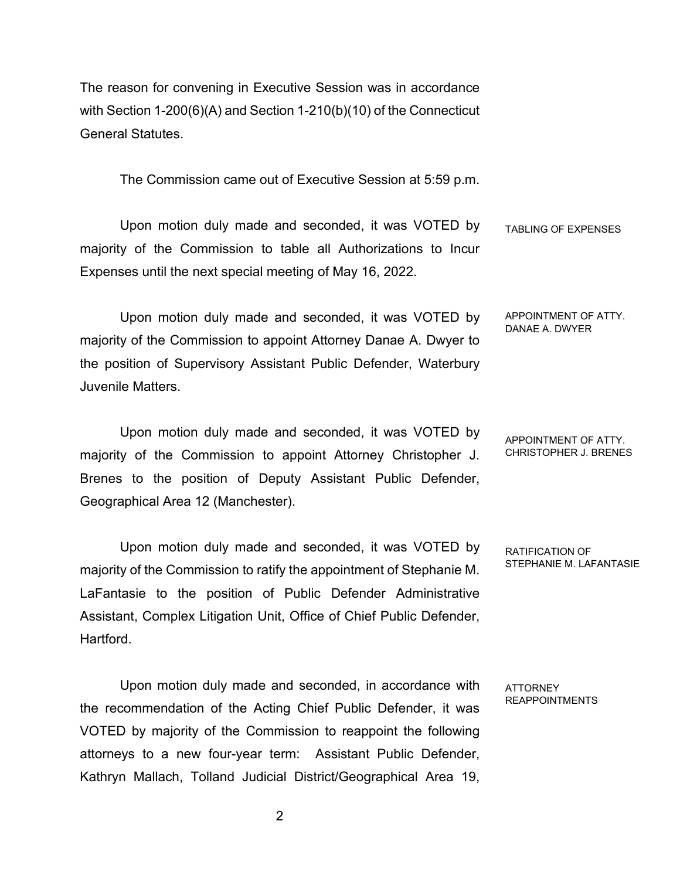The reason for convening in Executive Session was in accordance with Section 1-200(6)(A) and Section 1-210(b)(10) of the Connecticut General Statutes.

The Commission came out of Executive Session at 5:59 p.m.

Upon motion duly made and seconded, it was VOTED by majority of the Commission to table all Authorizations to Incur Expenses until the next special meeting of May 16, 2022. TABLING OF EXPENSES

Upon motion duly made and seconded, it was VOTED by majority of the Commission to appoint Attorney Danae A. Dwyer to the position of Supervisory Assistant Public Defender, Waterbury Juvenile Matters.

Upon motion duly made and seconded, it was VOTED by majority of the Commission to appoint Attorney Christopher J. Brenes to the position of Deputy Assistant Public Defender, Geographical Area 12 (Manchester).

Upon motion duly made and seconded, it was VOTED by majority of the Commission to ratify the appointment of Stephanie M. LaFantasie to the position of Public Defender Administrative Assistant, Complex Litigation Unit, Office of Chief Public Defender, **Hartford** 

Upon motion duly made and seconded, in accordance with the recommendation of the Acting Chief Public Defender, it was VOTED by majority of the Commission to reappoint the following attorneys to a new four-year term: Assistant Public Defender, Kathryn Mallach, Tolland Judicial District/Geographical Area 19, RATIFICATION OF STEPHANIE M. LAFANTASIE

APPOINTMENT OF ATTY. DANAE A. DWYER

APPOINTMENT OF ATTY. CHRISTOPHER J. BRENES

**ATTORNEY** REAPPOINTMENTS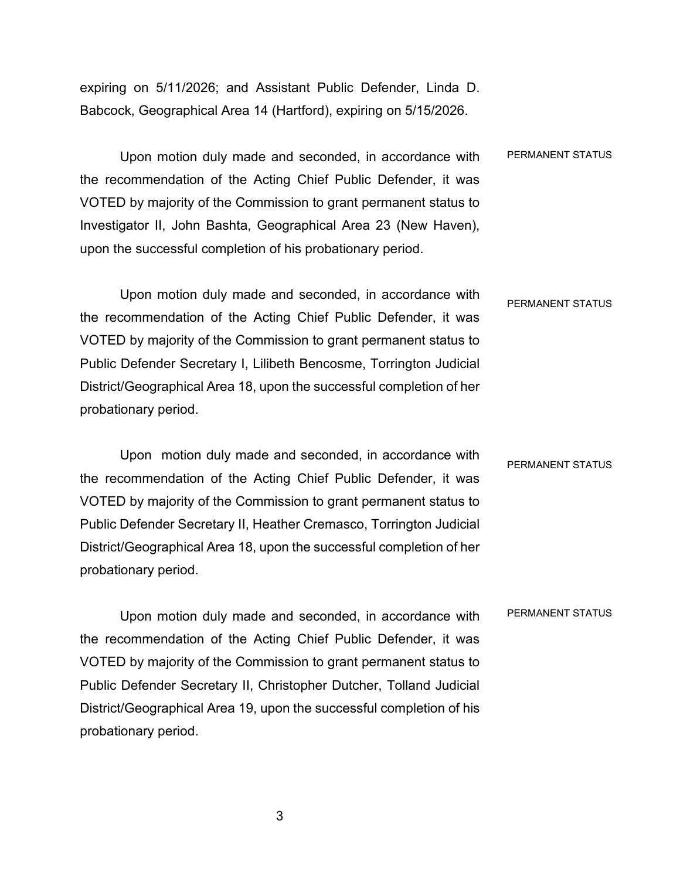expiring on 5/11/2026; and Assistant Public Defender, Linda D. Babcock, Geographical Area 14 (Hartford), expiring on 5/15/2026.

Upon motion duly made and seconded, in accordance with the recommendation of the Acting Chief Public Defender, it was VOTED by majority of the Commission to grant permanent status to Investigator II, John Bashta, Geographical Area 23 (New Haven), upon the successful completion of his probationary period. PERMANENT STATUS

Upon motion duly made and seconded, in accordance with the recommendation of the Acting Chief Public Defender, it was VOTED by majority of the Commission to grant permanent status to Public Defender Secretary I, Lilibeth Bencosme, Torrington Judicial District/Geographical Area 18, upon the successful completion of her probationary period. PERMANENT STATUS

Upon motion duly made and seconded, in accordance with the recommendation of the Acting Chief Public Defender, it was VOTED by majority of the Commission to grant permanent status to Public Defender Secretary II, Heather Cremasco, Torrington Judicial District/Geographical Area 18, upon the successful completion of her probationary period. PERMANENT STATUS

Upon motion duly made and seconded, in accordance with the recommendation of the Acting Chief Public Defender, it was VOTED by majority of the Commission to grant permanent status to Public Defender Secretary II, Christopher Dutcher, Tolland Judicial District/Geographical Area 19, upon the successful completion of his probationary period. PERMANENT STATUS

3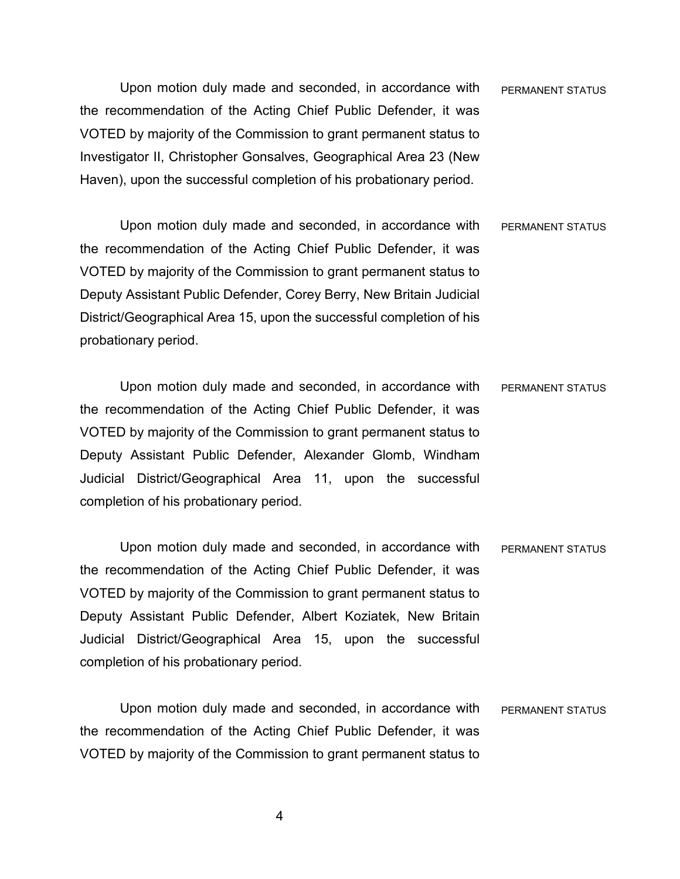Upon motion duly made and seconded, in accordance with the recommendation of the Acting Chief Public Defender, it was VOTED by majority of the Commission to grant permanent status to Investigator II, Christopher Gonsalves, Geographical Area 23 (New Haven), upon the successful completion of his probationary period. PERMANENT STATUS

Upon motion duly made and seconded, in accordance with the recommendation of the Acting Chief Public Defender, it was VOTED by majority of the Commission to grant permanent status to Deputy Assistant Public Defender, Corey Berry, New Britain Judicial District/Geographical Area 15, upon the successful completion of his probationary period. PERMANENT STATUS

Upon motion duly made and seconded, in accordance with the recommendation of the Acting Chief Public Defender, it was VOTED by majority of the Commission to grant permanent status to Deputy Assistant Public Defender, Alexander Glomb, Windham Judicial District/Geographical Area 11, upon the successful completion of his probationary period. PERMANENT STATUS

Upon motion duly made and seconded, in accordance with the recommendation of the Acting Chief Public Defender, it was VOTED by majority of the Commission to grant permanent status to Deputy Assistant Public Defender, Albert Koziatek, New Britain Judicial District/Geographical Area 15, upon the successful completion of his probationary period. PERMANENT STATUS

Upon motion duly made and seconded, in accordance with the recommendation of the Acting Chief Public Defender, it was VOTED by majority of the Commission to grant permanent status to PERMANENT STATUS

4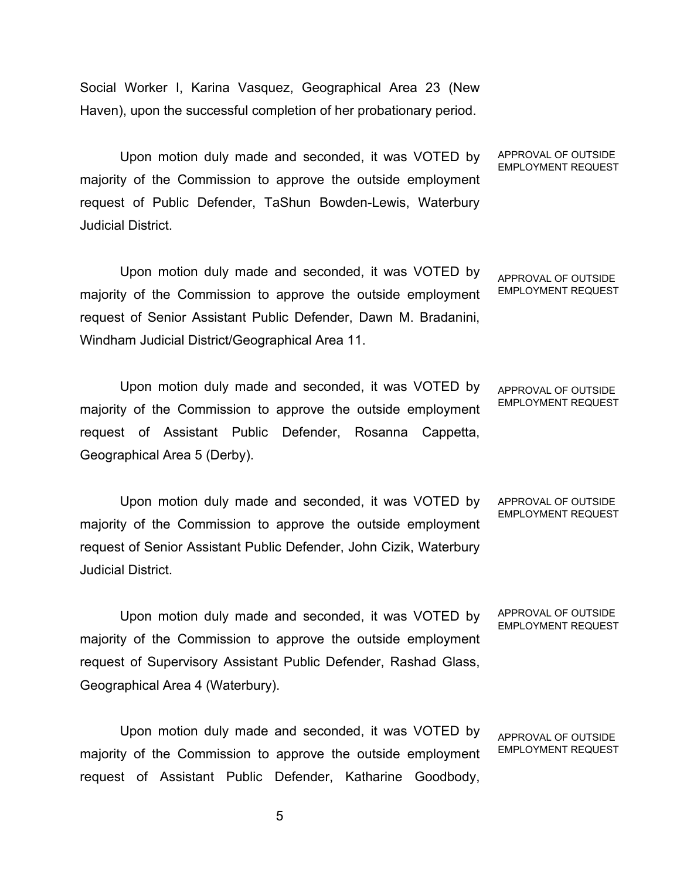Social Worker I, Karina Vasquez, Geographical Area 23 (New Haven), upon the successful completion of her probationary period.

Upon motion duly made and seconded, it was VOTED by majority of the Commission to approve the outside employment request of Public Defender, TaShun Bowden-Lewis, Waterbury Judicial District.

Upon motion duly made and seconded, it was VOTED by majority of the Commission to approve the outside employment request of Senior Assistant Public Defender, Dawn M. Bradanini, Windham Judicial District/Geographical Area 11.

Upon motion duly made and seconded, it was VOTED by majority of the Commission to approve the outside employment request of Assistant Public Defender, Rosanna Cappetta, Geographical Area 5 (Derby).

Upon motion duly made and seconded, it was VOTED by majority of the Commission to approve the outside employment request of Senior Assistant Public Defender, John Cizik, Waterbury Judicial District. APPROVAL OF OUTSIDE EMPLOYMENT REQUEST

Upon motion duly made and seconded, it was VOTED by majority of the Commission to approve the outside employment request of Supervisory Assistant Public Defender, Rashad Glass, Geographical Area 4 (Waterbury).

Upon motion duly made and seconded, it was VOTED by majority of the Commission to approve the outside employment request of Assistant Public Defender, Katharine Goodbody,

APPROVAL OF OUTSIDE EMPLOYMENT REQUEST

APPROVAL OF OUTSIDE EMPLOYMENT REQUEST

APPROVAL OF OUTSIDE EMPLOYMENT REQUEST

APPROVAL OF OUTSIDE EMPLOYMENT REQUEST

APPROVAL OF OUTSIDE EMPLOYMENT REQUEST